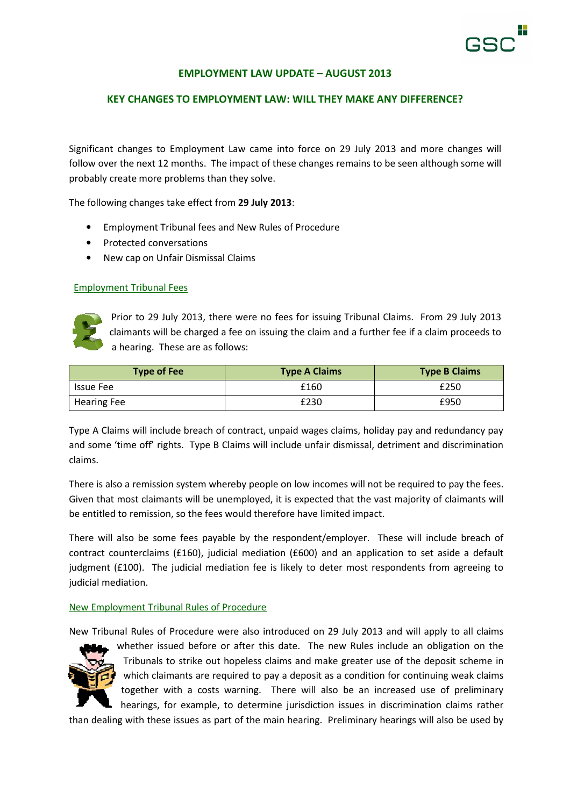

## EMPLOYMENT LAW UPDATE – AUGUST 2013

## KEY CHANGES TO EMPLOYMENT LAW: WILL THEY MAKE ANY DIFFERENCE?

Significant changes to Employment Law came into force on 29 July 2013 and more changes will follow over the next 12 months. The impact of these changes remains to be seen although some will probably create more problems than they solve.

The following changes take effect from 29 July 2013:

- Employment Tribunal fees and New Rules of Procedure
- Protected conversations
- New cap on Unfair Dismissal Claims

#### Employment Tribunal Fees



Prior to 29 July 2013, there were no fees for issuing Tribunal Claims. From 29 July 2013 claimants will be charged a fee on issuing the claim and a further fee if a claim proceeds to a hearing. These are as follows:

| <b>Type of Fee</b> | <b>Type A Claims</b> | <b>Type B Claims</b> |
|--------------------|----------------------|----------------------|
| <b>Issue Fee</b>   | £160                 | £250                 |
| <b>Hearing Fee</b> | £230                 | £950                 |

Type A Claims will include breach of contract, unpaid wages claims, holiday pay and redundancy pay and some 'time off' rights. Type B Claims will include unfair dismissal, detriment and discrimination claims.

There is also a remission system whereby people on low incomes will not be required to pay the fees. Given that most claimants will be unemployed, it is expected that the vast majority of claimants will be entitled to remission, so the fees would therefore have limited impact.

There will also be some fees payable by the respondent/employer. These will include breach of contract counterclaims (£160), judicial mediation (£600) and an application to set aside a default judgment (£100). The judicial mediation fee is likely to deter most respondents from agreeing to judicial mediation.

#### New Employment Tribunal Rules of Procedure

New Tribunal Rules of Procedure were also introduced on 29 July 2013 and will apply to all claims



whether issued before or after this date. The new Rules include an obligation on the Tribunals to strike out hopeless claims and make greater use of the deposit scheme in which claimants are required to pay a deposit as a condition for continuing weak claims together with a costs warning. There will also be an increased use of preliminary hearings, for example, to determine jurisdiction issues in discrimination claims rather

than dealing with these issues as part of the main hearing. Preliminary hearings will also be used by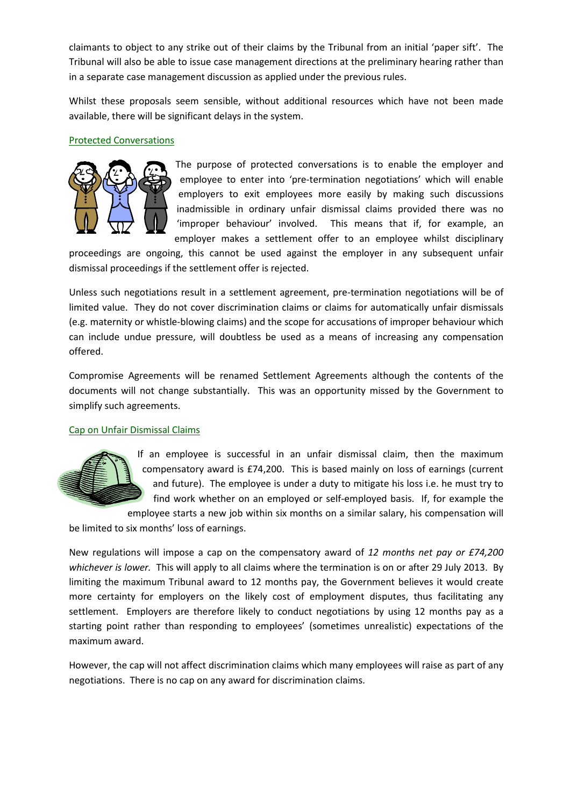claimants to object to any strike out of their claims by the Tribunal from an initial 'paper sift'. The Tribunal will also be able to issue case management directions at the preliminary hearing rather than in a separate case management discussion as applied under the previous rules.

Whilst these proposals seem sensible, without additional resources which have not been made available, there will be significant delays in the system.

## Protected Conversations



The purpose of protected conversations is to enable the employer and employee to enter into 'pre-termination negotiations' which will enable employers to exit employees more easily by making such discussions inadmissible in ordinary unfair dismissal claims provided there was no 'improper behaviour' involved. This means that if, for example, an employer makes a settlement offer to an employee whilst disciplinary

proceedings are ongoing, this cannot be used against the employer in any subsequent unfair dismissal proceedings if the settlement offer is rejected.

Unless such negotiations result in a settlement agreement, pre-termination negotiations will be of limited value. They do not cover discrimination claims or claims for automatically unfair dismissals (e.g. maternity or whistle-blowing claims) and the scope for accusations of improper behaviour which can include undue pressure, will doubtless be used as a means of increasing any compensation offered.

Compromise Agreements will be renamed Settlement Agreements although the contents of the documents will not change substantially. This was an opportunity missed by the Government to simplify such agreements.

# Cap on Unfair Dismissal Claims



If an employee is successful in an unfair dismissal claim, then the maximum compensatory award is £74,200. This is based mainly on loss of earnings (current and future). The employee is under a duty to mitigate his loss i.e. he must try to find work whether on an employed or self-employed basis. If, for example the

employee starts a new job within six months on a similar salary, his compensation will

be limited to six months' loss of earnings.

New regulations will impose a cap on the compensatory award of 12 months net pay or £74,200 whichever is lower. This will apply to all claims where the termination is on or after 29 July 2013. By limiting the maximum Tribunal award to 12 months pay, the Government believes it would create more certainty for employers on the likely cost of employment disputes, thus facilitating any settlement. Employers are therefore likely to conduct negotiations by using 12 months pay as a starting point rather than responding to employees' (sometimes unrealistic) expectations of the maximum award.

However, the cap will not affect discrimination claims which many employees will raise as part of any negotiations. There is no cap on any award for discrimination claims.